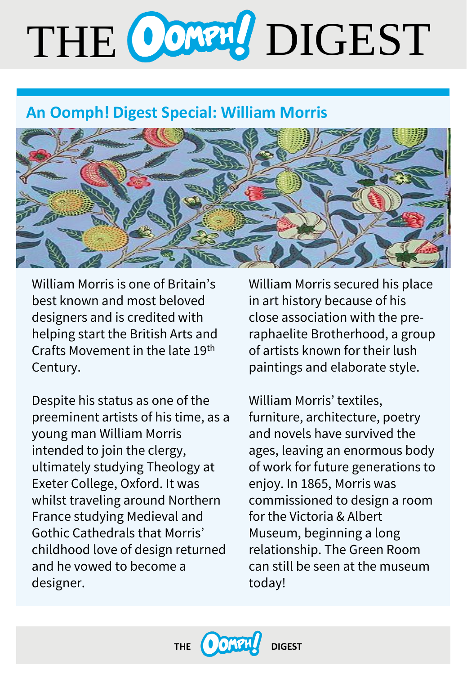# THE CONTRO DIGEST

# **An Oomph! Digest Special: William Morris**



William Morris is one of Britain's best known and most beloved designers and is credited with helping start the British Arts and Crafts Movement in the late 19th Century.

Despite his status as one of the preeminent artists of his time, as a young man William Morris intended to join the clergy, ultimately studying Theology at Exeter College, Oxford. It was whilst traveling around Northern France studying Medieval and Gothic Cathedrals that Morris' childhood love of design returned and he vowed to become a designer.

William Morris secured his place in art history because of his close association with the preraphaelite Brotherhood, a group of artists known for their lush paintings and elaborate style.

William Morris' textiles, furniture, architecture, poetry and novels have survived the ages, leaving an enormous body of work for future generations to enjoy. In 1865, Morris was commissioned to design a room for the Victoria & Albert Museum, beginning a long relationship. The Green Room can still be seen at the museum today!

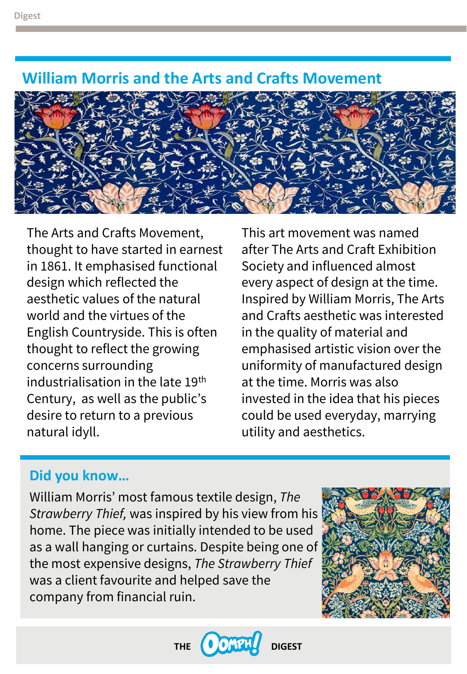# **William Morris and the Arts and Crafts Movement**



The Arts and Crafts Movement, thought to have started in earnest in 1861. It emphasised functional design which reflected the aesthetic values of the natural world and the virtues of the English Countryside. This is often thought to reflect the growing concerns surrounding industrialisation in the late 19<sup>th</sup> Century, as well as the public's desire to return to a previous natural idyll.

This art movement was named after The Arts and Craft Exhibition Society and influenced almost every aspect of design at the time. Inspired by William Morris, The Arts and Crafts aesthetic was interested in the quality of material and emphasised artistic vision over the uniformity of manufactured design at the time. Morris was also invested in the idea that his pieces could be used everyday, marrying utility and aesthetics.

# **Did you know…**

William Morris' most famous textile design, *The Strawberry Thief,* was inspired by his view from his home. The piece was initially intended to be used as a wall hanging or curtains. Despite being one of the most expensive designs, *The Strawberry Thief* was a client favourite and helped save the company from financial ruin.



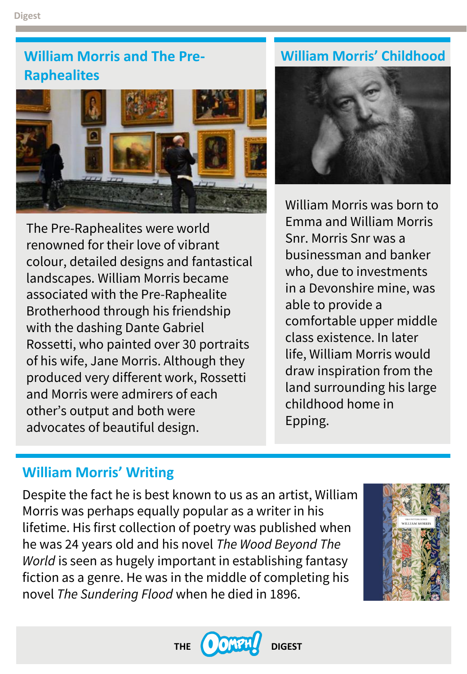# **William Morris and The Pre- William Morris' Childhood Raphealites**



William Morris was born to Emma and William Morris Snr. Morris Snr was a businessman and banker who, due to investments in a Devonshire mine, was able to provide a comfortable upper middle class existence. In later life, William Morris would draw inspiration from the land surrounding his large childhood home in Epping.

# The Pre-Raphealites were world renowned for their love of vibrant colour, detailed designs and fantastical landscapes. William Morris became associated with the Pre-Raphealite Brotherhood through his friendship with the dashing Dante Gabriel Rossetti, who painted over 30 portraits of his wife, Jane Morris. Although they produced very different work, Rossetti and Morris were admirers of each other's output and both were advocates of beautiful design.

# **William Morris' Writing**

Despite the fact he is best known to us as an artist, William Morris was perhaps equally popular as a writer in his lifetime. His first collection of poetry was published when he was 24 years old and his novel *The Wood Beyond The World* is seen as hugely important in establishing fantasy fiction as a genre. He was in the middle of completing his novel *The Sundering Flood* when he died in 1896.